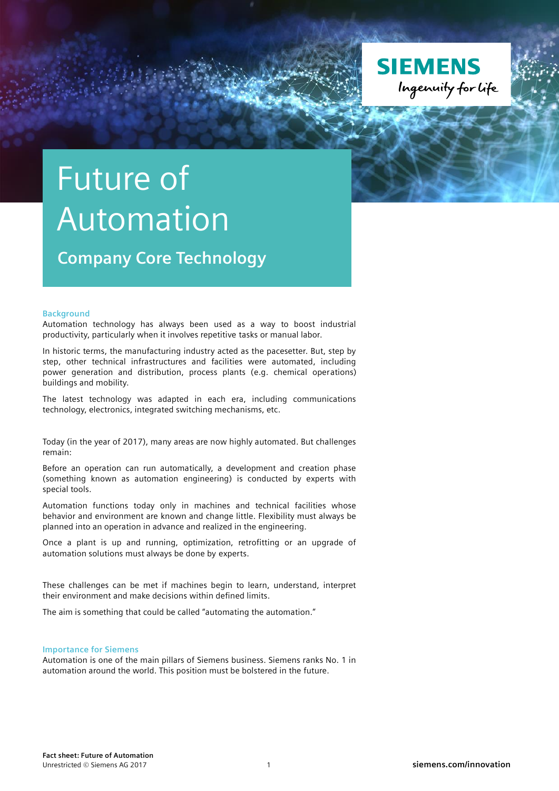

## Future of Automation

**Company Core Technology**

## **Background**

Automation technology has always been used as a way to boost industrial productivity, particularly when it involves repetitive tasks or manual labor.

In historic terms, the manufacturing industry acted as the pacesetter. But, step by step, other technical infrastructures and facilities were automated, including power generation and distribution, process plants (e.g. chemical operations) buildings and mobility.

The latest technology was adapted in each era, including communications technology, electronics, integrated switching mechanisms, etc.

Today (in the year of 2017), many areas are now highly automated. But challenges remain:

Before an operation can run automatically, a development and creation phase (something known as automation engineering) is conducted by experts with special tools.

Automation functions today only in machines and technical facilities whose behavior and environment are known and change little. Flexibility must always be planned into an operation in advance and realized in the engineering.

Once a plant is up and running, optimization, retrofitting or an upgrade of automation solutions must always be done by experts.

These challenges can be met if machines begin to learn, understand, interpret their environment and make decisions within defined limits.

The aim is something that could be called "automating the automation."

## **Importance for Siemens**

Automation is one of the main pillars of Siemens business. Siemens ranks No. 1 in automation around the world. This position must be bolstered in the future.